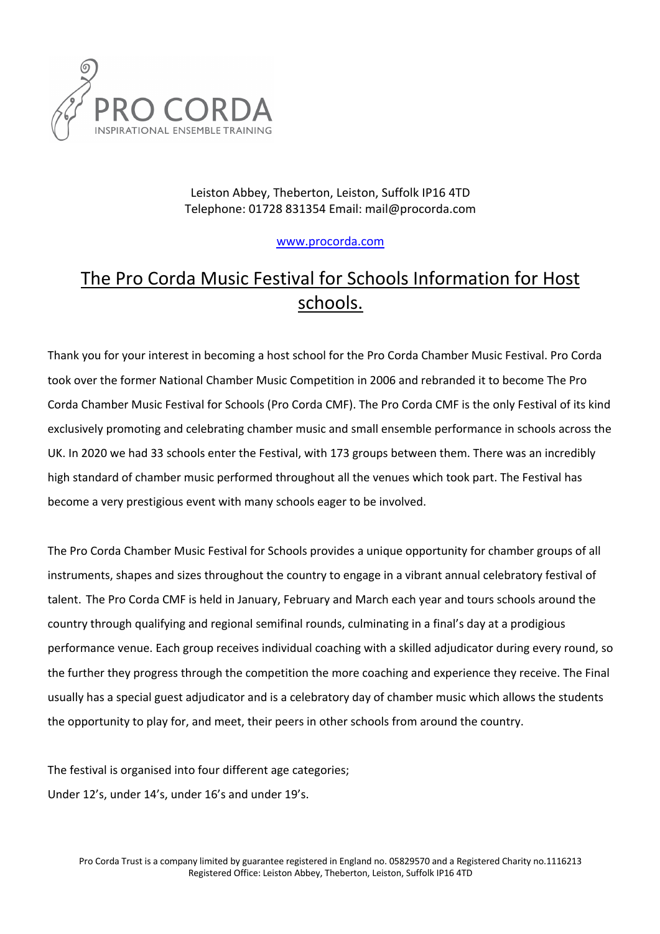

Leiston Abbey, Theberton, Leiston, Suffolk IP16 4TD Telephone: 01728 831354 Email: mail@procorda.com

www.procorda.com

## The Pro Corda Music Festival for Schools Information for Host schools.

Thank you for your interest in becoming a host school for the Pro Corda Chamber Music Festival. Pro Corda took over the former National Chamber Music Competition in 2006 and rebranded it to become The Pro Corda Chamber Music Festival for Schools (Pro Corda CMF). The Pro Corda CMF is the only Festival of its kind exclusively promoting and celebrating chamber music and small ensemble performance in schools across the UK. In 2020 we had 33 schools enter the Festival, with 173 groups between them. There was an incredibly high standard of chamber music performed throughout all the venues which took part. The Festival has become a very prestigious event with many schools eager to be involved.

The Pro Corda Chamber Music Festival for Schools provides a unique opportunity for chamber groups of all instruments, shapes and sizes throughout the country to engage in a vibrant annual celebratory festival of talent. The Pro Corda CMF is held in January, February and March each year and tours schools around the country through qualifying and regional semifinal rounds, culminating in a final's day at a prodigious performance venue. Each group receives individual coaching with a skilled adjudicator during every round, so the further they progress through the competition the more coaching and experience they receive. The Final usually has a special guest adjudicator and is a celebratory day of chamber music which allows the students the opportunity to play for, and meet, their peers in other schools from around the country.

The festival is organised into four different age categories; Under 12's, under 14's, under 16's and under 19's.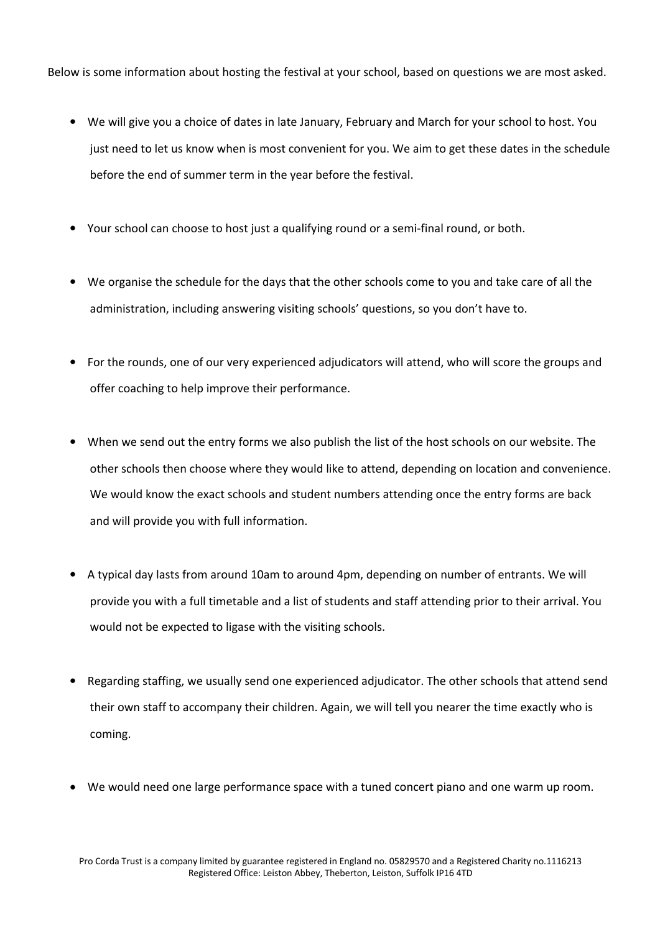Below is some information about hosting the festival at your school, based on questions we are most asked.

- We will give you a choice of dates in late January, February and March for your school to host. You just need to let us know when is most convenient for you. We aim to get these dates in the schedule before the end of summer term in the year before the festival.
- Your school can choose to host just a qualifying round or a semi-final round, or both.
- We organise the schedule for the days that the other schools come to you and take care of all the administration, including answering visiting schools' questions, so you don't have to.
- For the rounds, one of our very experienced adjudicators will attend, who will score the groups and offer coaching to help improve their performance.
- When we send out the entry forms we also publish the list of the host schools on our website. The other schools then choose where they would like to attend, depending on location and convenience. We would know the exact schools and student numbers attending once the entry forms are back and will provide you with full information.
- A typical day lasts from around 10am to around 4pm, depending on number of entrants. We will provide you with a full timetable and a list of students and staff attending prior to their arrival. You would not be expected to ligase with the visiting schools.
- Regarding staffing, we usually send one experienced adjudicator. The other schools that attend send their own staff to accompany their children. Again, we will tell you nearer the time exactly who is coming.
- We would need one large performance space with a tuned concert piano and one warm up room.